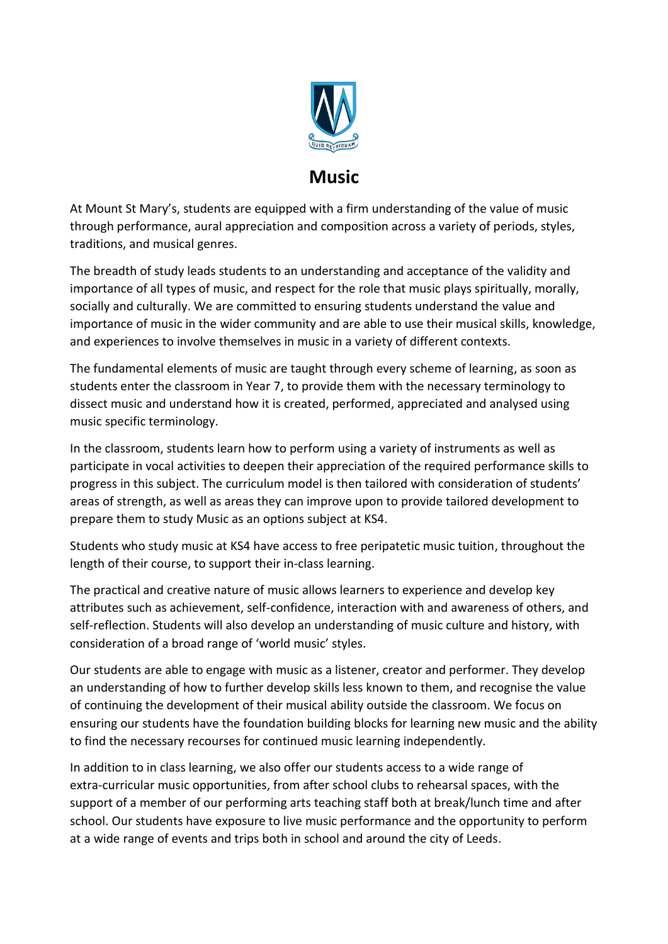

## **Music**

At Mount St Mary's, students are equipped with a firm understanding of the value of music through performance, aural appreciation and composition across a variety of periods, styles, traditions, and musical genres.

The breadth of study leads students to an understanding and acceptance of the validity and importance of all types of music, and respect for the role that music plays spiritually, morally, socially and culturally. We are committed to ensuring students understand the value and importance of music in the wider community and are able to use their musical skills, knowledge, and experiences to involve themselves in music in a variety of different contexts.

The fundamental elements of music are taught through every scheme of learning, as soon as students enter the classroom in Year 7, to provide them with the necessary terminology to dissect music and understand how it is created, performed, appreciated and analysed using music specific terminology.

In the classroom, students learn how to perform using a variety of instruments as well as participate in vocal activities to deepen their appreciation of the required performance skills to progress in this subject. The curriculum model is then tailored with consideration of students' areas of strength, as well as areas they can improve upon to provide tailored development to prepare them to study Music as an options subject at KS4.

Students who study music at KS4 have access to free peripatetic music tuition, throughout the length of their course, to support their in-class learning.

The practical and creative nature of music allows learners to experience and develop key attributes such as achievement, self-confidence, interaction with and awareness of others, and self-reflection. Students will also develop an understanding of music culture and history, with consideration of a broad range of 'world music' styles.

Our students are able to engage with music as a listener, creator and performer. They develop an understanding of how to further develop skills less known to them, and recognise the value of continuing the development of their musical ability outside the classroom. We focus on ensuring our students have the foundation building blocks for learning new music and the ability to find the necessary recourses for continued music learning independently.

In addition to in class learning, we also offer our students access to a wide range of extra-curricular music opportunities, from after school clubs to rehearsal spaces, with the support of a member of our performing arts teaching staff both at break/lunch time and after school. Our students have exposure to live music performance and the opportunity to perform at a wide range of events and trips both in school and around the city of Leeds.